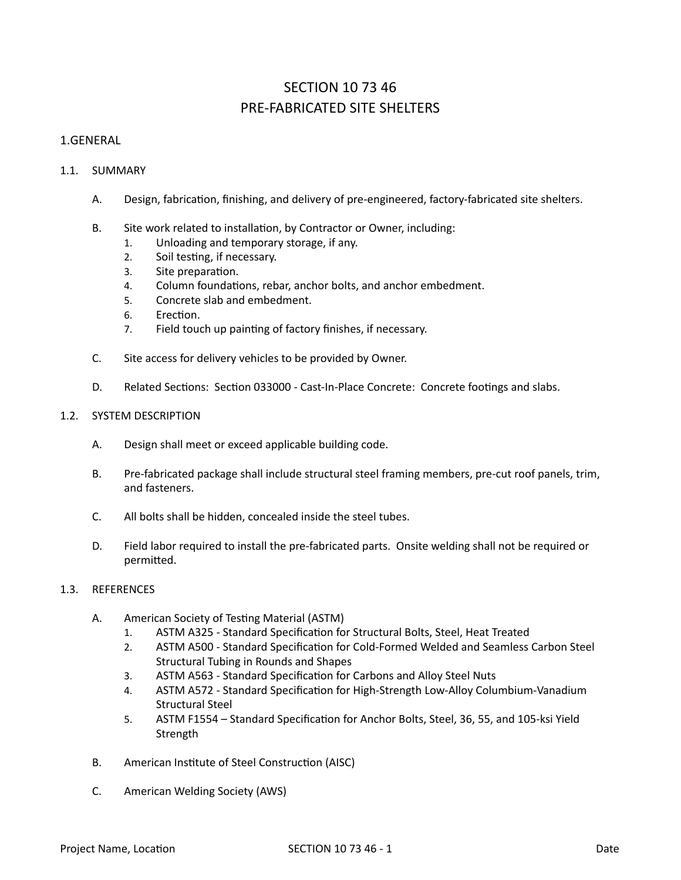# SECTION 10 73 46 PRE-FABRICATED SITE SHELTERS

## 1.GENERAL

## 1.1. SUMMARY

- A. Design, fabrication, finishing, and delivery of pre-engineered, factory-fabricated site shelters.
- B. Site work related to installation, by Contractor or Owner, including:
	- 1. Unloading and temporary storage, if any.
	- 2. Soil testing, if necessary.
	- 3. Site preparation.
	- 4. Column foundations, rebar, anchor bolts, and anchor embedment.
	- 5. Concrete slab and embedment.
	- 6 Frection.
	- 7. Field touch up painting of factory finishes, if necessary.
- C. Site access for delivery vehicles to be provided by Owner.
- D. Related Sections: Section 033000 Cast-In-Place Concrete: Concrete footings and slabs.

## 1.2. SYSTEM DESCRIPTION

- A. Design shall meet or exceed applicable building code.
- B. Pre-fabricated package shall include structural steel framing members, pre-cut roof panels, trim, and fasteners.
- C. All bolts shall be hidden, concealed inside the steel tubes.
- D. Field labor required to install the pre-fabricated parts. Onsite welding shall not be required or permitted.

## 1.3. REFERENCES

- A. American Society of Testing Material (ASTM)
	- 1. ASTM A325 Standard Specification for Structural Bolts, Steel, Heat Treated
	- 2. ASTM A500 Standard Specification for Cold-Formed Welded and Seamless Carbon Steel Structural Tubing in Rounds and Shapes
	- 3. ASTM A563 Standard Specification for Carbons and Alloy Steel Nuts
	- 4. ASTM A572 Standard Specification for High-Strength Low-Alloy Columbium-Vanadium Structural Steel
	- 5. ASTM F1554 Standard Specification for Anchor Bolts, Steel, 36, 55, and 105-ksi Yield Strength
- B. American Institute of Steel Construction (AISC)
- C. American Welding Society (AWS)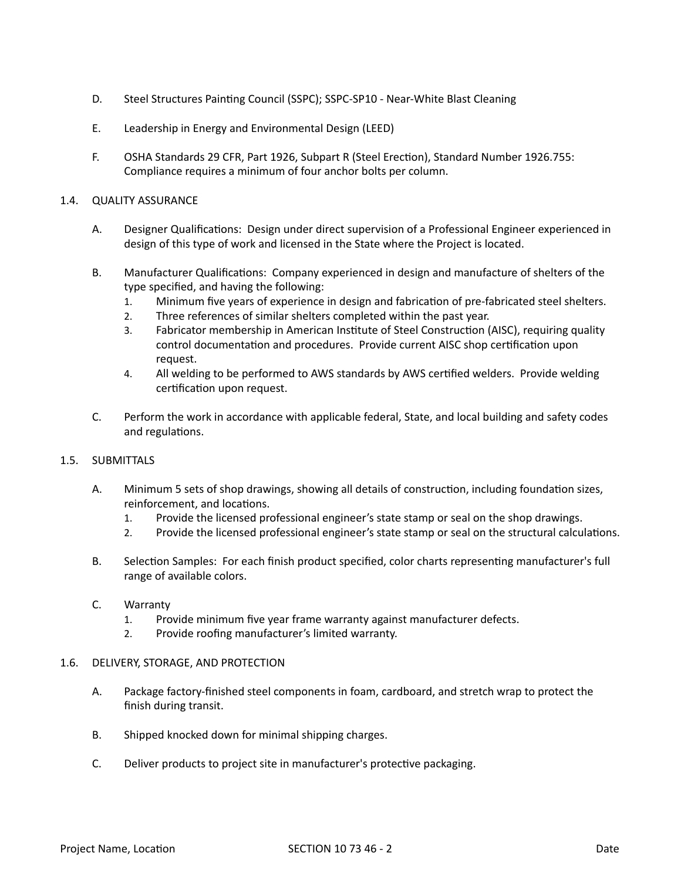- D. Steel Structures Painting Council (SSPC); SSPC-SP10 Near-White Blast Cleaning
- E. Leadership in Energy and Environmental Design (LEED)
- F. OSHA Standards 29 CFR, Part 1926, Subpart R (Steel Erection), Standard Number 1926.755: Compliance requires a minimum of four anchor bolts per column.

## 1.4. QUALITY ASSURANCE

- A. Designer Qualifications: Design under direct supervision of a Professional Engineer experienced in design of this type of work and licensed in the State where the Project is located.
- B. Manufacturer Qualifications: Company experienced in design and manufacture of shelters of the type specified, and having the following:
	- 1. Minimum five years of experience in design and fabrication of pre-fabricated steel shelters.
	- 2. Three references of similar shelters completed within the past year.
	- 3. Fabricator membership in American Institute of Steel Construction (AISC), requiring quality control documentation and procedures. Provide current AISC shop certification upon request.
	- 4. All welding to be performed to AWS standards by AWS certified welders. Provide welding certification upon request.
- C. Perform the work in accordance with applicable federal, State, and local building and safety codes and regulations.

### 1.5. SUBMITTALS

- A. Minimum 5 sets of shop drawings, showing all details of construction, including foundation sizes, reinforcement, and locations.
	- 1. Provide the licensed professional engineer's state stamp or seal on the shop drawings.
	- 2. Provide the licensed professional engineer's state stamp or seal on the structural calculations.
- B. Selection Samples: For each finish product specified, color charts representing manufacturer's full range of available colors.
- C. Warranty
	- 1. Provide minimum five year frame warranty against manufacturer defects.
	- 2. Provide roofing manufacturer's limited warranty.

### 1.6. DELIVERY, STORAGE, AND PROTECTION

- A. Package factory-finished steel components in foam, cardboard, and stretch wrap to protect the finish during transit.
- B. Shipped knocked down for minimal shipping charges.
- C. Deliver products to project site in manufacturer's protective packaging.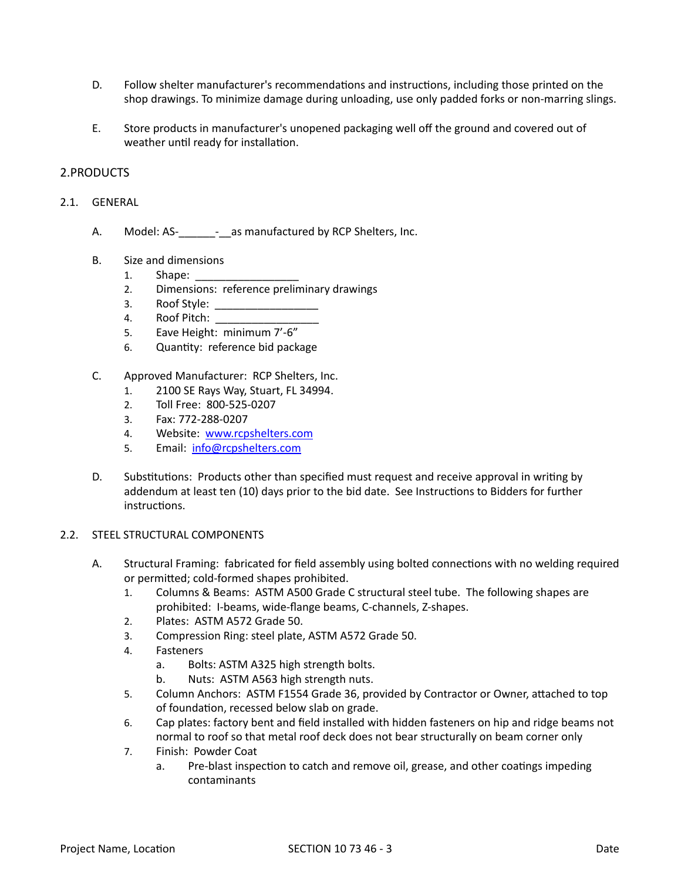- D. Follow shelter manufacturer's recommendations and instructions, including those printed on the shop drawings. To minimize damage during unloading, use only padded forks or non-marring slings.
- E. Store products in manufacturer's unopened packaging well off the ground and covered out of weather until ready for installation.

## 2.PRODUCTS

- 2.1. GENERAL
	- A. Model: AS- as manufactured by RCP Shelters, Inc.
	- B. Size and dimensions
		- 1. Shape:
		- 2. Dimensions: reference preliminary drawings
		- 3. Roof Style: \_\_\_\_\_\_\_\_\_\_\_\_\_\_\_\_\_
		- 4. Roof Pitch:
		- 5. Eave Height: minimum 7'-6"
		- 6. Quantity: reference bid package
	- C. Approved Manufacturer: RCP Shelters, Inc.
		- 1. 2100 SE Rays Way, Stuart, FL 34994.
		- 2. Toll Free: 800-525-0207
		- 3. Fax: 772-288-0207
		- 4. Website: [www.rcpshelters.com](http://www.rcpshelters.com)
		- 5. Email: [info@rcpshelters.com](mailto:info@rcpshelters.com)
	- D. Substitutions: Products other than specified must request and receive approval in writing by addendum at least ten (10) days prior to the bid date. See Instructions to Bidders for further instructions.

### 2.2. STEEL STRUCTURAL COMPONENTS

- A. Structural Framing: fabricated for field assembly using bolted connections with no welding required or permitted; cold-formed shapes prohibited.
	- 1. Columns & Beams: ASTM A500 Grade C structural steel tube. The following shapes are prohibited: I-beams, wide-flange beams, C-channels, Z-shapes.
	- 2. Plates: ASTM A572 Grade 50.
	- 3. Compression Ring: steel plate, ASTM A572 Grade 50.
	- 4. Fasteners
		- a. Bolts: ASTM A325 high strength bolts.
		- b. Nuts: ASTM A563 high strength nuts.
	- 5. Column Anchors: ASTM F1554 Grade 36, provided by Contractor or Owner, attached to top of foundation, recessed below slab on grade.
	- 6. Cap plates: factory bent and field installed with hidden fasteners on hip and ridge beams not normal to roof so that metal roof deck does not bear structurally on beam corner only
	- 7. Finish: Powder Coat
		- a. Pre-blast inspection to catch and remove oil, grease, and other coatings impeding contaminants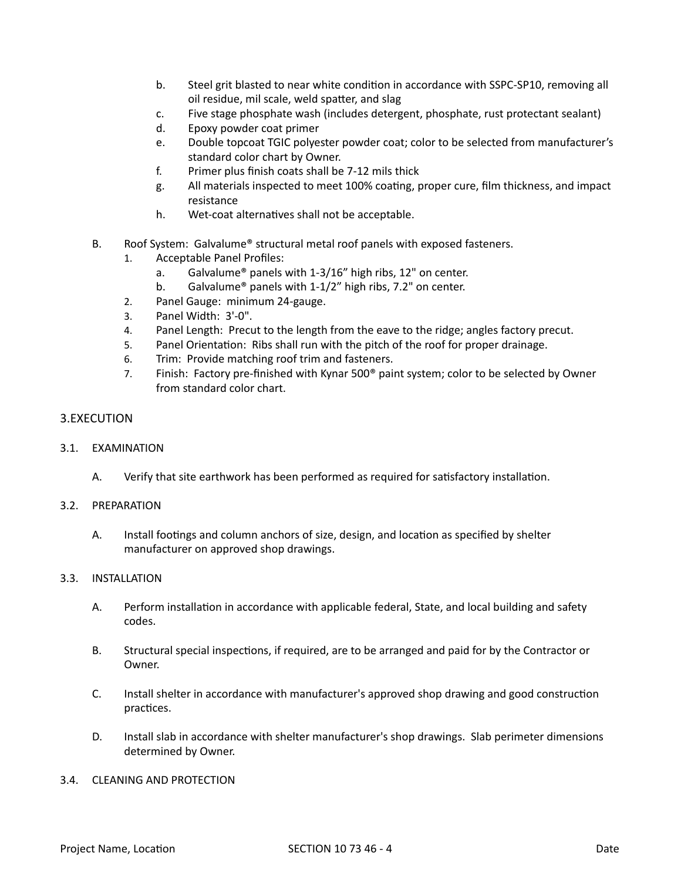- b. Steel grit blasted to near white condition in accordance with SSPC-SP10, removing all oil residue, mil scale, weld spatter, and slag
- c. Five stage phosphate wash (includes detergent, phosphate, rust protectant sealant)
- d. Epoxy powder coat primer
- e. Double topcoat TGIC polyester powder coat; color to be selected from manufacturer's standard color chart by Owner.
- f. Primer plus finish coats shall be 7-12 mils thick
- g. All materials inspected to meet 100% coating, proper cure, film thickness, and impact resistance
- h. Wet-coat alternatives shall not be acceptable.
- B. Roof System: Galvalume® structural metal roof panels with exposed fasteners.
	- 1. Acceptable Panel Profiles:
		- a. Galvalume® panels with 1-3/16" high ribs, 12" on center.
		- b. Galvalume® panels with 1-1/2" high ribs, 7.2" on center.
	- 2. Panel Gauge: minimum 24-gauge.
	- 3. Panel Width: 3'-0".
	- 4. Panel Length: Precut to the length from the eave to the ridge; angles factory precut.
	- 5. Panel Orientation: Ribs shall run with the pitch of the roof for proper drainage.
	- 6. Trim: Provide matching roof trim and fasteners.
	- 7. Finish: Factory pre-finished with Kynar 500® paint system; color to be selected by Owner from standard color chart.

## 3.EXECUTION

### 3.1. EXAMINATION

A. Verify that site earthwork has been performed as required for satisfactory installation.

### 3.2. PREPARATION

A. Install footings and column anchors of size, design, and location as specified by shelter manufacturer on approved shop drawings.

### 3.3. INSTALLATION

- A. Perform installation in accordance with applicable federal, State, and local building and safety codes.
- B. Structural special inspections, if required, are to be arranged and paid for by the Contractor or Owner.
- C. Install shelter in accordance with manufacturer's approved shop drawing and good construction practices.
- D. Install slab in accordance with shelter manufacturer's shop drawings. Slab perimeter dimensions determined by Owner.

### 3.4. CLEANING AND PROTECTION